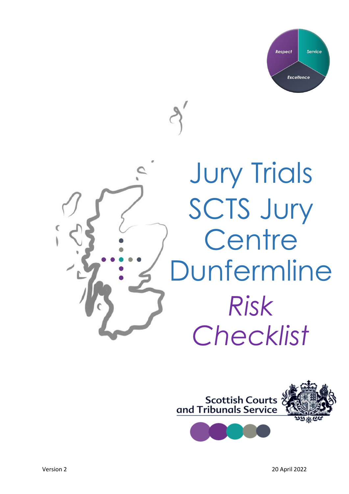





Version 2 20 April 2022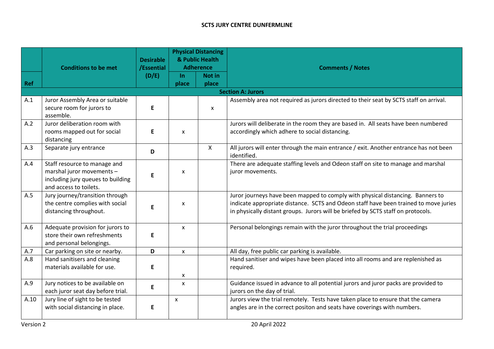## **SCTS JURY CENTRE DUNFERMLINE**

|      | <b>Conditions to be met</b>                                                                                              | <b>Desirable</b><br>/Essential<br>(D/E) | <b>Physical Distancing</b><br>& Public Health<br><b>Adherence</b> |                 | <b>Comments / Notes</b>                                                                                                                                                                                                                                    |
|------|--------------------------------------------------------------------------------------------------------------------------|-----------------------------------------|-------------------------------------------------------------------|-----------------|------------------------------------------------------------------------------------------------------------------------------------------------------------------------------------------------------------------------------------------------------------|
| Ref  |                                                                                                                          |                                         | In<br>place                                                       | Not in<br>place |                                                                                                                                                                                                                                                            |
|      |                                                                                                                          |                                         |                                                                   |                 | <b>Section A: Jurors</b>                                                                                                                                                                                                                                   |
| A.1  | Juror Assembly Area or suitable<br>secure room for jurors to<br>assemble.                                                | E                                       |                                                                   | X               | Assembly area not required as jurors directed to their seat by SCTS staff on arrival.                                                                                                                                                                      |
| A.2  | Juror deliberation room with<br>rooms mapped out for social<br>distancing                                                | E                                       | $\boldsymbol{\mathsf{x}}$                                         |                 | Jurors will deliberate in the room they are based in. All seats have been numbered<br>accordingly which adhere to social distancing.                                                                                                                       |
| A.3  | Separate jury entrance                                                                                                   | D                                       |                                                                   | $\mathsf{X}$    | All jurors will enter through the main entrance / exit. Another entrance has not been<br>identified.                                                                                                                                                       |
| A.4  | Staff resource to manage and<br>marshal juror movements -<br>including jury queues to building<br>and access to toilets. | E                                       | $\boldsymbol{\mathsf{x}}$                                         |                 | There are adequate staffing levels and Odeon staff on site to manage and marshal<br>juror movements.                                                                                                                                                       |
| A.5  | Jury journey/transition through<br>the centre complies with social<br>distancing throughout.                             | E                                       | $\mathsf{x}$                                                      |                 | Juror journeys have been mapped to comply with physical distancing. Banners to<br>indicate appropriate distance. SCTS and Odeon staff have been trained to move juries<br>in physically distant groups. Jurors will be briefed by SCTS staff on protocols. |
| A.6  | Adequate provision for jurors to<br>store their own refreshments<br>and personal belongings.                             | E                                       | $\mathsf{x}$                                                      |                 | Personal belongings remain with the juror throughout the trial proceedings                                                                                                                                                                                 |
| A.7  | Car parking on site or nearby.                                                                                           | D                                       | X                                                                 |                 | All day, free public car parking is available.                                                                                                                                                                                                             |
| A.8  | Hand sanitisers and cleaning<br>materials available for use.                                                             | E                                       | $\pmb{\mathsf{x}}$                                                |                 | Hand sanitiser and wipes have been placed into all rooms and are replenished as<br>required.                                                                                                                                                               |
| A.9  | Jury notices to be available on<br>each juror seat day before trial.                                                     | E                                       | $\boldsymbol{\mathsf{x}}$                                         |                 | Guidance issued in advance to all potential jurors and juror packs are provided to<br>jurors on the day of trial.                                                                                                                                          |
| A.10 | Jury line of sight to be tested<br>with social distancing in place.                                                      | E                                       | $\pmb{\mathsf{X}}$                                                |                 | Jurors view the trial remotely. Tests have taken place to ensure that the camera<br>angles are in the correct positon and seats have coverings with numbers.                                                                                               |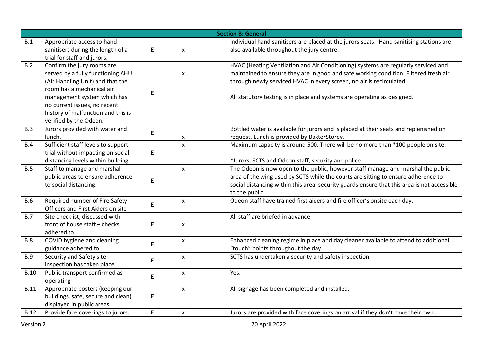|             | <b>Section B: General</b>                                                                                                                                                                                                                                       |             |                |                                                                                                                                                                                                                                                                                                                                |  |  |  |
|-------------|-----------------------------------------------------------------------------------------------------------------------------------------------------------------------------------------------------------------------------------------------------------------|-------------|----------------|--------------------------------------------------------------------------------------------------------------------------------------------------------------------------------------------------------------------------------------------------------------------------------------------------------------------------------|--|--|--|
| B.1         | Appropriate access to hand<br>sanitisers during the length of a<br>trial for staff and jurors.                                                                                                                                                                  | E           | X              | Individual hand sanitisers are placed at the jurors seats. Hand sanitising stations are<br>also available throughout the jury centre.                                                                                                                                                                                          |  |  |  |
| B.2         | Confirm the jury rooms are<br>served by a fully functioning AHU<br>(Air Handling Unit) and that the<br>room has a mechanical air<br>management system which has<br>no current issues, no recent<br>history of malfunction and this is<br>verified by the Odeon. | E           | $\mathsf{x}$   | HVAC (Heating Ventilation and Air Conditioning) systems are regularly serviced and<br>maintained to ensure they are in good and safe working condition. Filtered fresh air<br>through newly serviced HVAC in every screen, no air is recirculated.<br>All statutory testing is in place and systems are operating as designed. |  |  |  |
| B.3         | Jurors provided with water and<br>lunch.                                                                                                                                                                                                                        | E           | X              | Bottled water is available for jurors and is placed at their seats and replenished on<br>request. Lunch is provided by BaxterStorey.                                                                                                                                                                                           |  |  |  |
| B.4         | Sufficient staff levels to support<br>trial without impacting on social<br>distancing levels within building.                                                                                                                                                   | E           | X              | Maximum capacity is around 500. There will be no more than *100 people on site.<br>*Jurors, SCTS and Odeon staff, security and police.                                                                                                                                                                                         |  |  |  |
| B.5         | Staff to manage and marshal<br>public areas to ensure adherence<br>to social distancing.                                                                                                                                                                        | E           | X              | The Odeon is now open to the public, however staff manage and marshal the public<br>area of the wing used by SCTS while the courts are sitting to ensure adherence to<br>social distancing within this area; security guards ensure that this area is not accessible<br>to the public                                          |  |  |  |
| <b>B.6</b>  | Required number of Fire Safety<br>Officers and First Aiders on site                                                                                                                                                                                             | $\mathsf E$ | X              | Odeon staff have trained first aiders and fire officer's onsite each day.                                                                                                                                                                                                                                                      |  |  |  |
| <b>B.7</b>  | Site checklist, discussed with<br>front of house staff - checks<br>adhered to.                                                                                                                                                                                  | E           | X              | All staff are briefed in advance.                                                                                                                                                                                                                                                                                              |  |  |  |
| <b>B.8</b>  | COVID hygiene and cleaning<br>guidance adhered to.                                                                                                                                                                                                              | E           | $\mathsf{x}$   | Enhanced cleaning regime in place and day cleaner available to attend to additional<br>"touch" points throughout the day.                                                                                                                                                                                                      |  |  |  |
| <b>B.9</b>  | Security and Safety site<br>inspection has taken place.                                                                                                                                                                                                         | E           | X              | SCTS has undertaken a security and safety inspection.                                                                                                                                                                                                                                                                          |  |  |  |
| <b>B.10</b> | Public transport confirmed as<br>operating                                                                                                                                                                                                                      | E           | X              | Yes.                                                                                                                                                                                                                                                                                                                           |  |  |  |
| <b>B.11</b> | Appropriate posters (keeping our<br>buildings, safe, secure and clean)<br>displayed in public areas.                                                                                                                                                            | E           | X              | All signage has been completed and installed.                                                                                                                                                                                                                                                                                  |  |  |  |
| <b>B.12</b> | Provide face coverings to jurors.                                                                                                                                                                                                                               | E           | $\pmb{\times}$ | Jurors are provided with face coverings on arrival if they don't have their own.                                                                                                                                                                                                                                               |  |  |  |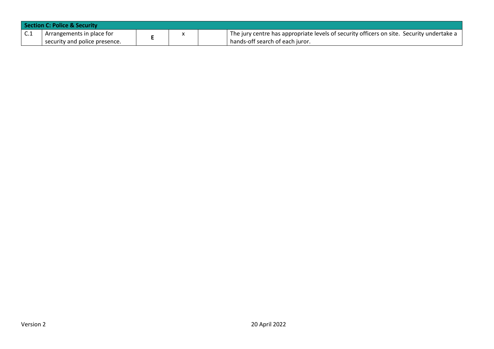| Section C: Police & Security |                               |  |  |  |                                                                                           |  |  |
|------------------------------|-------------------------------|--|--|--|-------------------------------------------------------------------------------------------|--|--|
|                              | Arrangements in place for     |  |  |  | The jury centre has appropriate levels of security officers on site. Security undertake a |  |  |
|                              | security and police presence. |  |  |  | hands-off search of each juror.                                                           |  |  |